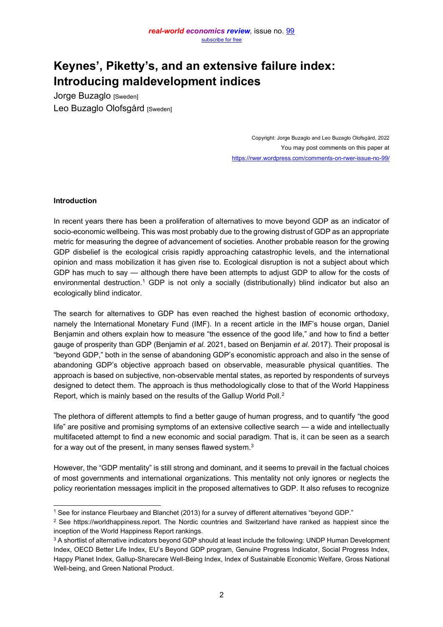# **Keynes', Piketty's, and an extensive failure index: Introducing maldevelopment indices**

Jorge Buzaglo [Sweden] Leo Buzaglo Olofsgård [Sweden]

> Copyright: Jorge Buzaglo and Leo Buzaglo Olofsgård, 2022 You may post comments on this paper at <https://rwer.wordpress.com/comments-on-rwer-issue-no-99/>

## **Introduction**

In recent years there has been a proliferation of alternatives to move beyond GDP as an indicator of socio-economic wellbeing. This was most probably due to the growing distrust of GDP as an appropriate metric for measuring the degree of advancement of societies. Another probable reason for the growing GDP disbelief is the ecological crisis rapidly approaching catastrophic levels, and the international opinion and mass mobilization it has given rise to. Ecological disruption is not a subject about which GDP has much to say  $-$  although there have been attempts to adjust GDP to allow for the costs of environmental destruction.<sup>1</sup> GDP is not only a socially (distributionally) blind indicator but also an ecologically blind indicator.

The search for alternatives to GDP has even reached the highest bastion of economic orthodoxy, namely the International Monetary Fund (IMF). In a recent article in the IMF's house organ, Daniel Benjamin and others explain how to measure "the essence of the good life," and how to find a better gauge of prosperity than GDP (Benjamin *et al.* 2021, based on Benjamin *et al.* 2017). Their proposal is "beyond GDP," both in the sense of abandoning GDP's economistic approach and also in the sense of abandoning GDP's objective approach based on observable, measurable physical quantities. The approach is based on subjective, non-observable mental states, as reported by respondents of surveys designed to detect them. The approach is thus methodologically close to that of the World Happiness Report, which is mainly based on the results of the Gallup World Poll.<sup>2</sup>

The plethora of different attempts to find a better gauge of human progress, and to quantify "the good life" are positive and promising symptoms of an extensive collective search  $-$  a wide and intellectually multifaceted attempt to find a new economic and social paradigm. That is, it can be seen as a search for a way out of the present, in many senses flawed system.<sup>3</sup>

However, the "GDP mentality" is still strong and dominant, and it seems to prevail in the factual choices of most governments and international organizations. This mentality not only ignores or neglects the policy reorientation messages implicit in the proposed alternatives to GDP. It also refuses to recognize

 $1$  See for instance Fleurbaey and Blanchet (2013) for a survey of different alternatives "beyond GDP."

<sup>&</sup>lt;sup>2</sup> See https://worldhappiness.report. The Nordic countries and Switzerland have ranked as happiest since the inception of the World Happiness Report rankings.

<sup>&</sup>lt;sup>3</sup> A shortlist of alternative indicators beyond GDP should at least include the following: UNDP Human Development Index, OECD Better Life Index, EU's Beyond GDP program, Genuine Progress Indicator, Social Progress Index, Happy Planet Index, Gallup-Sharecare Well-Being Index, Index of Sustainable Economic Welfare, Gross National Well-being, and Green National Product.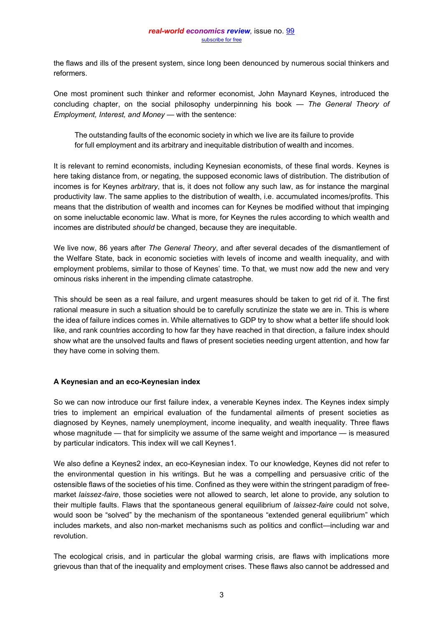the flaws and ills of the present system, since long been denounced by numerous social thinkers and reformers.

One most prominent such thinker and reformer economist, John Maynard Keynes, introduced the concluding chapter, on the social philosophy underpinning his book — The General Theory of *Employment, Interest, and Money — with the sentence:* 

The outstanding faults of the economic society in which we live are its failure to provide for full employment and its arbitrary and inequitable distribution of wealth and incomes.

It is relevant to remind economists, including Keynesian economists, of these final words. Keynes is here taking distance from, or negating, the supposed economic laws of distribution. The distribution of incomes is for Keynes *arbitrary*, that is, it does not follow any such law, as for instance the marginal productivity law. The same applies to the distribution of wealth, i.e. accumulated incomes/profits. This means that the distribution of wealth and incomes can for Keynes be modified without that impinging on some ineluctable economic law. What is more, for Keynes the rules according to which wealth and incomes are distributed *should* be changed, because they are inequitable.

We live now, 86 years after *The General Theory*, and after several decades of the dismantlement of the Welfare State, back in economic societies with levels of income and wealth inequality, and with employment problems, similar to those of Keynes' time. To that, we must now add the new and very ominous risks inherent in the impending climate catastrophe.

This should be seen as a real failure, and urgent measures should be taken to get rid of it. The first rational measure in such a situation should be to carefully scrutinize the state we are in. This is where the idea of failure indices comes in. While alternatives to GDP try to show what a better life should look like, and rank countries according to how far they have reached in that direction, a failure index should show what are the unsolved faults and flaws of present societies needing urgent attention, and how far they have come in solving them.

## **A Keynesian and an eco-Keynesian index**

So we can now introduce our first failure index, a venerable Keynes index. The Keynes index simply tries to implement an empirical evaluation of the fundamental ailments of present societies as diagnosed by Keynes, namely unemployment, income inequality, and wealth inequality. Three flaws whose magnitude  $-$  that for simplicity we assume of the same weight and importance  $-$  is measured by particular indicators. This index will we call Keynes1.

We also define a Keynes2 index, an eco-Keynesian index. To our knowledge, Keynes did not refer to the environmental question in his writings. But he was a compelling and persuasive critic of the ostensible flaws of the societies of his time. Confined as they were within the stringent paradigm of freemarket *laissez-faire*, those societies were not allowed to search, let alone to provide, any solution to their multiple faults. Flaws that the spontaneous general equilibrium of *laissez-faire* could not solve, would soon be "solved" by the mechanism of the spontaneous "extended general equilibrium" which includes markets, and also non-market mechanisms such as politics and conflict—including war and revolution.

The ecological crisis, and in particular the global warming crisis, are flaws with implications more grievous than that of the inequality and employment crises. These flaws also cannot be addressed and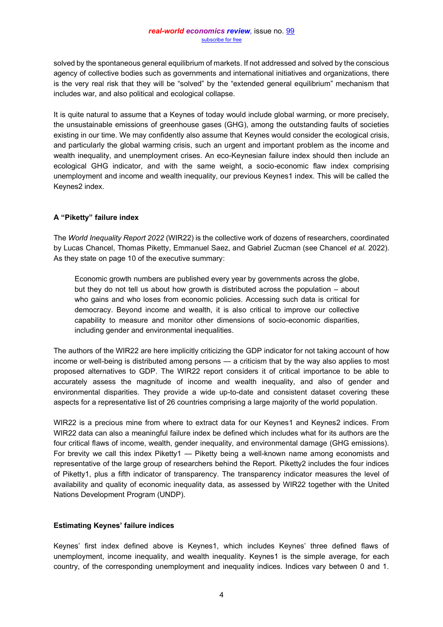solved by the spontaneous general equilibrium of markets. If not addressed and solved by the conscious agency of collective bodies such as governments and international initiatives and organizations, there is the very real risk that they will be "solved" by the "extended general equilibrium" mechanism that includes war, and also political and ecological collapse.

It is quite natural to assume that a Keynes of today would include global warming, or more precisely, the unsustainable emissions of greenhouse gases (GHG), among the outstanding faults of societies existing in our time. We may confidently also assume that Keynes would consider the ecological crisis, and particularly the global warming crisis, such an urgent and important problem as the income and wealth inequality, and unemployment crises. An eco-Keynesian failure index should then include an ecological GHG indicator, and with the same weight, a socio-economic flaw index comprising unemployment and income and wealth inequality, our previous Keynes1 index. This will be called the Keynes2 index.

# **A ³PikeWW\´ failure index**

The *World Inequality Report 2022* (WIR22) is the collective work of dozens of researchers, coordinated by Lucas Chancel, Thomas Piketty, Emmanuel Saez, and Gabriel Zucman (see Chancel *et al.* 2022). As they state on page 10 of the executive summary:

Economic growth numbers are published every year by governments across the globe, but they do not tell us about how growth is distributed across the population  $-$  about who gains and who loses from economic policies. Accessing such data is critical for democracy. Beyond income and wealth, it is also critical to improve our collective capability to measure and monitor other dimensions of socio-economic disparities, including gender and environmental inequalities.

The authors of the WIR22 are here implicitly criticizing the GDP indicator for not taking account of how income or well-being is distributed among persons — a criticism that by the way also applies to most proposed alternatives to GDP. The WIR22 report considers it of critical importance to be able to accurately assess the magnitude of income and wealth inequality, and also of gender and environmental disparities. They provide a wide up-to-date and consistent dataset covering these aspects for a representative list of 26 countries comprising a large majority of the world population.

WIR22 is a precious mine from where to extract data for our Keynes1 and Keynes2 indices. From WIR22 data can also a meaningful failure index be defined which includes what for its authors are the four critical flaws of income, wealth, gender inequality, and environmental damage (GHG emissions). For brevity we call this index Piketty1  $-$  Piketty being a well-known name among economists and representative of the large group of researchers behind the Report. Piketty2 includes the four indices of Piketty1, plus a fifth indicator of transparency. The transparency indicator measures the level of availability and quality of economic inequality data, as assessed by WIR22 together with the United Nations Development Program (UNDP).

# **Estimating Keynes' failure indices**

Keynes' first index defined above is Keynes1, which includes Keynes' three defined flaws of unemployment, income inequality, and wealth inequality. Keynes1 is the simple average, for each country, of the corresponding unemployment and inequality indices. Indices vary between 0 and 1.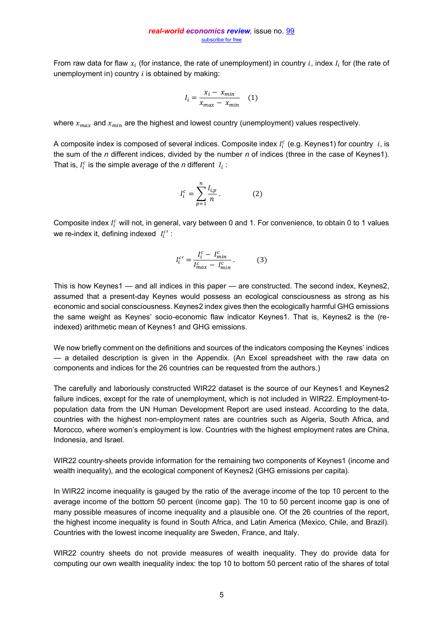From raw data for flaw  $x_i$  (for instance, the rate of unemployment) in country i, index  $I_i$  for (the rate of unemployment in) country  $i$  is obtained by making:

$$
I_i = \frac{x_i - x_{min}}{x_{max} - x_{min}} \quad (1)
$$

where  $x_{max}$  and  $x_{min}$  are the highest and lowest country (unemployment) values respectively.

A composite index is composed of several indices. Composite index  $I_i^c$  (e.g. Keynes1) for country  $|i\rangle$ , is the sum of the *n* different indices, divided by the number *n* of indices (three in the case of Keynes1). That is,  $I_i^c$  is the simple average of the *n* different  $I_i$ :

$$
I_i^c = \sum_{p=1}^n \frac{I_{i,p}}{n} \,. \tag{2}
$$

Composite index  $I_i^c$  will not, in general, vary between 0 and 1. For convenience, to obtain 0 to 1 values we re-index it, defining indexed  $|I_i^{c'}|$ :

$$
I_i^{c'} = \frac{I_i^c - I_{min}^c}{I_{max}^c - I_{min}^c} \,. \tag{3}
$$

This is how Keynes1  $-$  and all indices in this paper  $-$  are constructed. The second index, Keynes2, assumed that a present-day Keynes would possess an ecological consciousness as strong as his economic and social consciousness. Keynes2 index gives then the ecologically harmful GHG emissions the same weight as Keynes' socio-economic flaw indicator Keynes1. That is, Keynes2 is the (reindexed) arithmetic mean of Keynes1 and GHG emissions.

We now briefly comment on the definitions and sources of the indicators composing the Keynes' indices  $-$  a detailed description is given in the Appendix. (An Excel spreadsheet with the raw data on components and indices for the 26 countries can be requested from the authors.)

The carefully and laboriously constructed WIR22 dataset is the source of our Keynes1 and Keynes2 failure indices, except for the rate of unemployment, which is not included in WIR22. Employment-topopulation data from the UN Human Development Report are used instead. According to the data, countries with the highest non-employment rates are countries such as Algeria, South Africa, and Morocco, where women's employment is low. Countries with the highest employment rates are China, Indonesia, and Israel.

WIR22 country-sheets provide information for the remaining two components of Keynes1 (income and wealth inequality), and the ecological component of Keynes2 (GHG emissions per capita).

In WIR22 income inequality is gauged by the ratio of the average income of the top 10 percent to the average income of the bottom 50 percent (income gap). The 10 to 50 percent income gap is one of many possible measures of income inequality and a plausible one. Of the 26 countries of the report, the highest income inequality is found in South Africa, and Latin America (Mexico, Chile, and Brazil). Countries with the lowest income inequality are Sweden, France, and Italy.

WIR22 country sheets do not provide measures of wealth inequality. They do provide data for computing our own wealth inequality index: the top 10 to bottom 50 percent ratio of the shares of total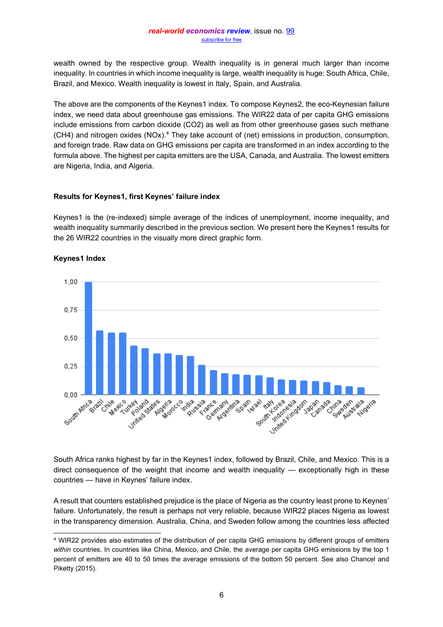wealth owned by the respective group. Wealth inequality is in general much larger than income inequality. In countries in which income inequality is large, wealth inequality is huge: South Africa, Chile, Brazil, and Mexico. Wealth inequality is lowest in Italy, Spain, and Australia.

The above are the components of the Keynes1 index. To compose Keynes2, the eco-Keynesian failure index, we need data about greenhouse gas emissions. The WIR22 data of per capita GHG emissions include emissions from carbon dioxide (CO2) as well as from other greenhouse gases such methane (CH4) and nitrogen oxides (NOx).4 They take account of (net) emissions in production, consumption, and foreign trade. Raw data on GHG emissions per capita are transformed in an index according to the formula above. The highest per capita emitters are the USA, Canada, and Australia. The lowest emitters are Nigeria, India, and Algeria.

## **Results for Keynes1, first Keynes' failure index**

Keynes1 is the (re-indexed) simple average of the indices of unemployment, income inequality, and wealth inequality summarily described in the previous section. We present here the Keynes1 results for the 26 WIR22 countries in the visually more direct graphic form.



## **Keynes1 Index**

South Africa ranks highest by far in the Keynes1 index, followed by Brazil, Chile, and Mexico. This is a direct consequence of the weight that income and wealth inequality  $-$  exceptionally high in these countries - have in Keynes' failure index.

A result that counters established prejudice is the place of Nigeria as the country least prone to Keynes' failure. Unfortunately, the result is perhaps not very reliable, because WIR22 places Nigeria as lowest in the transparency dimension. Australia, China, and Sweden follow among the countries less affected

<sup>4</sup> WIR22 provides also estimates of the distribution of per capita GHG emissions by different groups of emitters *within* countries. In countries like China, Mexico, and Chile, the average per capita GHG emissions by the top 1 percent of emitters are 40 to 50 times the average emissions of the bottom 50 percent. See also Chancel and Piketty (2015).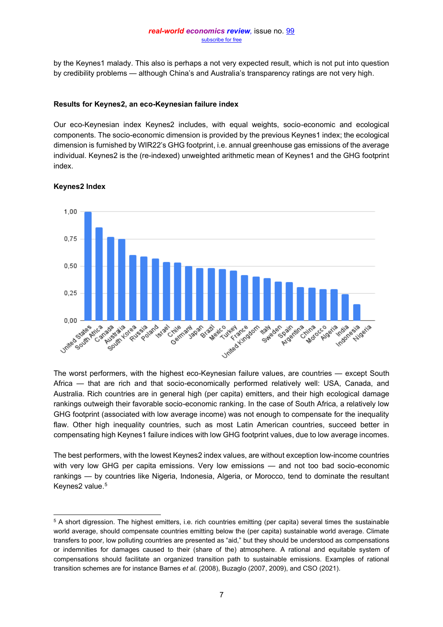by the Keynes1 malady. This also is perhaps a not very expected result, which is not put into question by credibility problems — although China's and Australia's transparency ratings are not very high.

#### **Results for Keynes2, an eco-Keynesian failure index**

Our eco-Keynesian index Keynes2 includes, with equal weights, socio-economic and ecological components. The socio-economic dimension is provided by the previous Keynes1 index; the ecological dimension is furnished by WIR22's GHG footprint, i.e. annual greenhouse gas emissions of the average individual. Keynes2 is the (re-indexed) unweighted arithmetic mean of Keynes1 and the GHG footprint index.



# **Keynes2 Index**

The worst performers, with the highest eco-Keynesian failure values, are countries — except South Africa — that are rich and that socio-economically performed relatively well: USA, Canada, and Australia. Rich countries are in general high (per capita) emitters, and their high ecological damage rankings outweigh their favorable socio-economic ranking. In the case of South Africa, a relatively low GHG footprint (associated with low average income) was not enough to compensate for the inequality flaw. Other high inequality countries, such as most Latin American countries, succeed better in compensating high Keynes1 failure indices with low GHG footprint values, due to low average incomes.

The best performers, with the lowest Keynes2 index values, are without exception low-income countries with very low GHG per capita emissions. Very low emissions — and not too bad socio-economic rankings - by countries like Nigeria, Indonesia, Algeria, or Morocco, tend to dominate the resultant Keynes2 value.<sup>5</sup>

<sup>5</sup> A short digression. The highest emitters, i.e. rich countries emitting (per capita) several times the sustainable world average, should compensate countries emitting below the (per capita) sustainable world average. Climate transfers to poor, low polluting countries are presented as "aid," but they should be understood as compensations or indemnities for damages caused to their (share of the) atmosphere. A rational and equitable system of compensations should facilitate an organized transition path to sustainable emissions. Examples of rational transition schemes are for instance Barnes *et al*. (2008), Buzaglo (2007, 2009), and CSO (2021).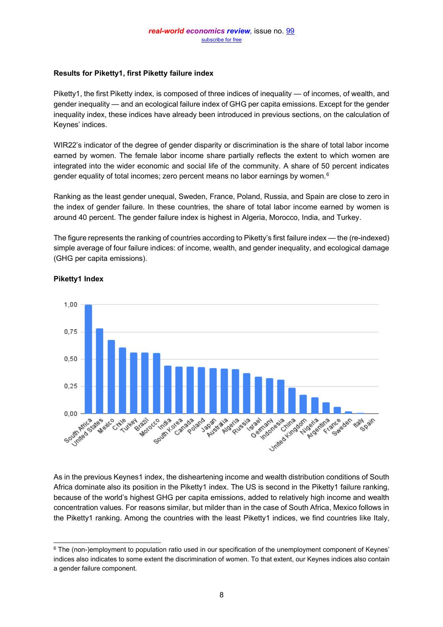## **Results for Piketty1, first Piketty failure index**

Piketty1, the first Piketty index, is composed of three indices of inequality  $-$  of incomes, of wealth, and gender inequality — and an ecological failure index of GHG per capita emissions. Except for the gender inequality index, these indices have already been introduced in previous sections, on the calculation of Keynes' indices.

WIR22's indicator of the degree of gender disparity or discrimination is the share of total labor income earned by women. The female labor income share partially reflects the extent to which women are integrated into the wider economic and social life of the community. A share of 50 percent indicates gender equality of total incomes; zero percent means no labor earnings by women.<sup>6</sup>

Ranking as the least gender unequal, Sweden, France, Poland, Russia, and Spain are close to zero in the index of gender failure. In these countries, the share of total labor income earned by women is around 40 percent. The gender failure index is highest in Algeria, Morocco, India, and Turkey.

The figure represents the ranking of countries according to Piketty's first failure index  $-$  the (re-indexed) simple average of four failure indices: of income, wealth, and gender inequality, and ecological damage (GHG per capita emissions).



## **Piketty1 Index**

As in the previous Keynes1 index, the disheartening income and wealth distribution conditions of South Africa dominate also its position in the Piketty1 index. The US is second in the Piketty1 failure ranking, because of the world's highest GHG per capita emissions, added to relatively high income and wealth concentration values. For reasons similar, but milder than in the case of South Africa, Mexico follows in the Piketty1 ranking. Among the countries with the least Piketty1 indices, we find countries like Italy,

 $6$  The (non-)employment to population ratio used in our specification of the unemployment component of Keynes' indices also indicates to some extent the discrimination of women. To that extent, our Keynes indices also contain a gender failure component.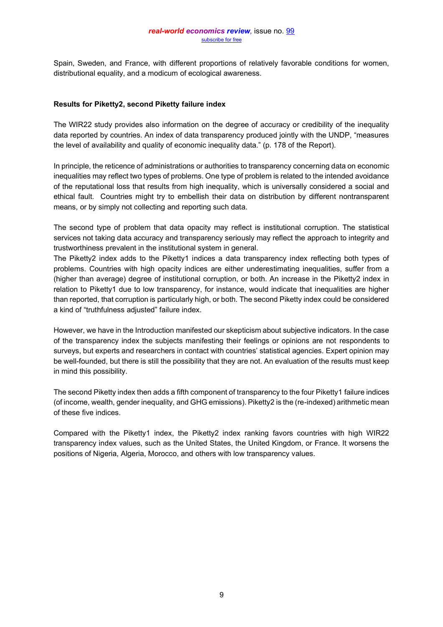Spain, Sweden, and France, with different proportions of relatively favorable conditions for women, distributional equality, and a modicum of ecological awareness.

#### **Results for Piketty2, second Piketty failure index**

The WIR22 study provides also information on the degree of accuracy or credibility of the inequality data reported by countries. An index of data transparency produced jointly with the UNDP, "measures" the level of availability and quality of economic inequality data." (p. 178 of the Report).

In principle, the reticence of administrations or authorities to transparency concerning data on economic inequalities may reflect two types of problems. One type of problem is related to the intended avoidance of the reputational loss that results from high inequality, which is universally considered a social and ethical fault. Countries might try to embellish their data on distribution by different nontransparent means, or by simply not collecting and reporting such data.

The second type of problem that data opacity may reflect is institutional corruption. The statistical services not taking data accuracy and transparency seriously may reflect the approach to integrity and trustworthiness prevalent in the institutional system in general.

The Piketty2 index adds to the Piketty1 indices a data transparency index reflecting both types of problems. Countries with high opacity indices are either underestimating inequalities, suffer from a (higher than average) degree of institutional corruption, or both. An increase in the Piketty2 index in relation to Piketty1 due to low transparency, for instance, would indicate that inequalities are higher than reported, that corruption is particularly high, or both. The second Piketty index could be considered a kind of "truthfulness adjusted" failure index.

However, we have in the Introduction manifested our skepticism about subjective indicators. In the case of the transparency index the subjects manifesting their feelings or opinions are not respondents to surveys, but experts and researchers in contact with countries' statistical agencies. Expert opinion may be well-founded, but there is still the possibility that they are not. An evaluation of the results must keep in mind this possibility.

The second Piketty index then adds a fifth component of transparency to the four Piketty1 failure indices (of income, wealth, gender inequality, and GHG emissions). Piketty2 is the (re-indexed) arithmetic mean of these five indices.

Compared with the Piketty1 index, the Piketty2 index ranking favors countries with high WIR22 transparency index values, such as the United States, the United Kingdom, or France. It worsens the positions of Nigeria, Algeria, Morocco, and others with low transparency values.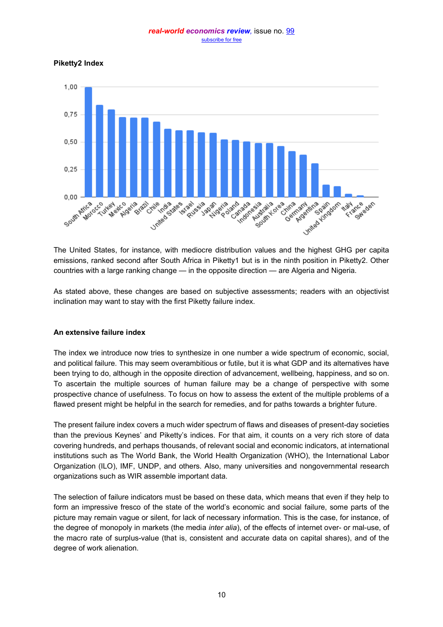**Piketty2 Index**



The United States, for instance, with mediocre distribution values and the highest GHG per capita emissions, ranked second after South Africa in Piketty1 but is in the ninth position in Piketty2. Other countries with a large ranking change — in the opposite direction — are Algeria and Nigeria.

As stated above, these changes are based on subjective assessments; readers with an objectivist inclination may want to stay with the first Piketty failure index.

## **An extensive failure index**

The index we introduce now tries to synthesize in one number a wide spectrum of economic, social, and political failure. This may seem overambitious or futile, but it is what GDP and its alternatives have been trying to do, although in the opposite direction of advancement, wellbeing, happiness, and so on. To ascertain the multiple sources of human failure may be a change of perspective with some prospective chance of usefulness. To focus on how to assess the extent of the multiple problems of a flawed present might be helpful in the search for remedies, and for paths towards a brighter future.

The present failure index covers a much wider spectrum of flaws and diseases of present-day societies than the previous Keynes' and Piketty's indices. For that aim, it counts on a very rich store of data covering hundreds, and perhaps thousands, of relevant social and economic indicators, at international institutions such as The World Bank, the World Health Organization (WHO), the International Labor Organization (ILO), IMF, UNDP, and others. Also, many universities and nongovernmental research organizations such as WIR assemble important data.

The selection of failure indicators must be based on these data, which means that even if they help to form an impressive fresco of the state of the world's economic and social failure, some parts of the picture may remain vague or silent, for lack of necessary information. This is the case, for instance, of the degree of monopoly in markets (the media *inter alia*), of the effects of internet over- or mal-use, of the macro rate of surplus-value (that is, consistent and accurate data on capital shares), and of the degree of work alienation.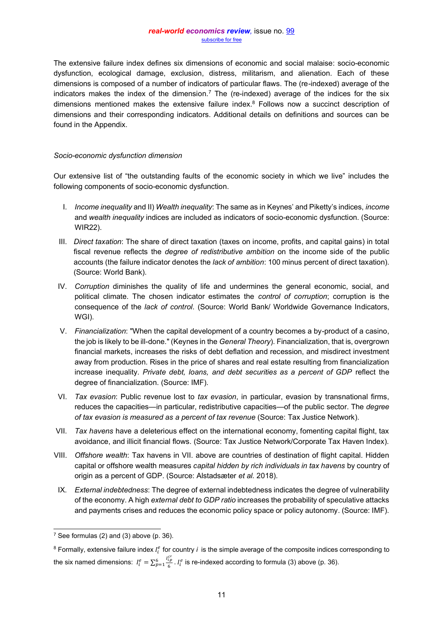The extensive failure index defines six dimensions of economic and social malaise: socio-economic dysfunction, ecological damage, exclusion, distress, militarism, and alienation. Each of these dimensions is composed of a number of indicators of particular flaws. The (re-indexed) average of the indicators makes the index of the dimension.<sup>7</sup> The (re-indexed) average of the indices for the six dimensions mentioned makes the extensive failure index.8 Follows now a succinct description of dimensions and their corresponding indicators. Additional details on definitions and sources can be found in the Appendix.

#### *Socio-economic dysfunction dimension*

Our extensive list of "the outstanding faults of the economic society in which we live" includes the following components of socio-economic dysfunction.

- I. *Income inequality* and II) *Wealth inequality*: The same as in Keynes' and Piketty's indices, *income* and *wealth inequality* indices are included as indicators of socio-economic dysfunction. (Source: WIR22).
- III. *Direct taxation*: The share of direct taxation (taxes on income, profits, and capital gains) in total fiscal revenue reflects the *degree of redistributive ambition* on the income side of the public accounts (the failure indicator denotes the *lack of ambition*: 100 minus percent of direct taxation). (Source: World Bank).
- IV. *Corruption* diminishes the quality of life and undermines the general economic, social, and political climate. The chosen indicator estimates the *control of corruption*; corruption is the consequence of the *lack of control*. (Source: World Bank/ Worldwide Governance Indicators, WGI).
- V. *Financialization*: "When the capital development of a country becomes a by-product of a casino, the job is likely to be ill-done." (Keynes in the *General Theory*). Financialization, that is, overgrown financial markets, increases the risks of debt deflation and recession, and misdirect investment away from production. Rises in the price of shares and real estate resulting from financialization increase inequality. *Private debt, loans, and debt securities as a percent of GDP* reflect the degree of financialization. (Source: IMF).
- VI. *Tax evasion*: Public revenue lost to *tax evasion*, in particular, evasion by transnational firms, reduces the capacities—in particular, redistributive capacities—of the public sector. The *degree of tax evasion is measured as a percent of tax revenue* (Source: Tax Justice Network).
- VII. *Tax havens* have a deleterious effect on the international economy, fomenting capital flight, tax avoidance, and illicit financial flows. (Source: Tax Justice Network/Corporate Tax Haven Index).
- VIII. *Offshore wealth*: Tax havens in VII. above are countries of destination of flight capital. Hidden capital or offshore wealth measures *capital hidden by rich individuals in tax havens* by country of origin as a percent of GDP. (Source: Alstadsæter *et al.* 2018).
- IX. *External indebtedness*: The degree of external indebtedness indicates the degree of vulnerability of the economy. A high *external debt to GDP ratio* increases the probability of speculative attacks and payments crises and reduces the economic policy space or policy autonomy. (Source: IMF).

 $7$  See formulas (2) and (3) above (p. 36).

 $8$  Formally, extensive failure index  $I_i^e$  for country *i* is the simple average of the composite indices corresponding to the six named dimensions:  $I_i^e = \sum_{p=1}^6 \frac{I_{i,p}^{e^e}}{6}$  $_{p=1}^{6}$   $_{6}^{l}$  .  $I_{i}^{e}$  is re-indexed according to formula (3) above (p. 36).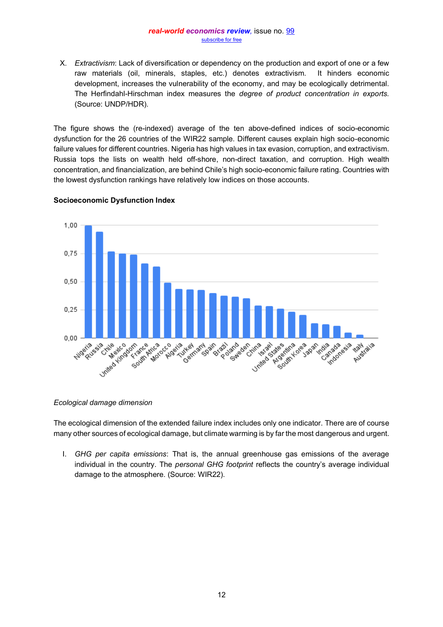X. *Extractivism*: Lack of diversification or dependency on the production and export of one or a few raw materials (oil, minerals, staples, etc.) denotes extractivism. It hinders economic development, increases the vulnerability of the economy, and may be ecologically detrimental. The Herfindahl-Hirschman index measures the *degree of product concentration in exports.* (Source: UNDP/HDR).

The figure shows the (re-indexed) average of the ten above-defined indices of socio-economic dysfunction for the 26 countries of the WIR22 sample. Different causes explain high socio-economic failure values for different countries. Nigeria has high values in tax evasion, corruption, and extractivism. Russia tops the lists on wealth held off-shore, non-direct taxation, and corruption. High wealth concentration, and financialization, are behind Chile's high socio-economic failure rating. Countries with the lowest dysfunction rankings have relatively low indices on those accounts.



# **Socioeconomic Dysfunction Index**

*Ecological damage dimension*

The ecological dimension of the extended failure index includes only one indicator. There are of course many other sources of ecological damage, but climate warming is by far the most dangerous and urgent.

I. *GHG per capita emissions*: That is, the annual greenhouse gas emissions of the average individual in the country. The *personal GHG footprint* reflects the country's average individual damage to the atmosphere. (Source: WIR22).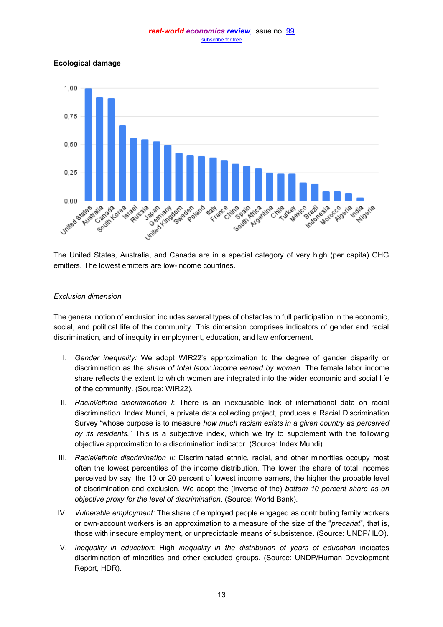**Ecological damage**



The United States, Australia, and Canada are in a special category of very high (per capita) GHG emitters. The lowest emitters are low-income countries.

# *Exclusion dimension*

The general notion of exclusion includes several types of obstacles to full participation in the economic, social, and political life of the community. This dimension comprises indicators of gender and racial discrimination, and of inequity in employment, education, and law enforcement.

- I. Gender inequality: We adopt WIR22's approximation to the degree of gender disparity or discrimination as the *share of total labor income earned by women*. The female labor income share reflects the extent to which women are integrated into the wider economic and social life of the community. (Source: WIR22).
- II. *Racial/ethnic discrimination I*: There is an inexcusable lack of international data on racial discriminatio*n.* Index Mundi, a private data collecting project, produces a Racial Discrimination Survey "whose purpose is to measure *how much racism exists in a given country as perceived by its residents.*<sup>"</sup> This is a subjective index, which we try to supplement with the following objective approximation to a discrimination indicator. (Source: Index Mundi).
- III. *Racial/ethnic discrimination II:* Discriminated ethnic, racial, and other minorities occupy most often the lowest percentiles of the income distribution. The lower the share of total incomes perceived by say, the 10 or 20 percent of lowest income earners, the higher the probable level of discrimination and exclusion. We adopt the (inverse of the) *bottom 10 percent share as an objective proxy for the level of discrimination*. (Source: World Bank).
- IV. *Vulnerable employment:* The share of employed people engaged as contributing family workers or own-account workers is an approximation to a measure of the size of the "*precariat*", that is, those with insecure employment, or unpredictable means of subsistence. (Source: UNDP/ ILO).
- V. *Inequality in education*: High *inequality in the distribution of years of education* indicates discrimination of minorities and other excluded groups. (Source: UNDP/Human Development Report, HDR).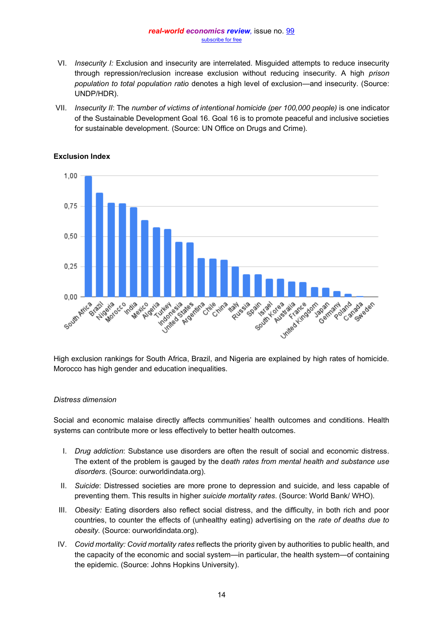- VI. *Insecurity I:* Exclusion and insecurity are interrelated. Misguided attempts to reduce insecurity through repression/reclusion increase exclusion without reducing insecurity. A high *prison population to total population ratio* denotes a high level of exclusion—and insecurity. (Source: UNDP/HDR).
- VII. *Insecurity II*: The *number of victims of intentional homicide (per 100,000 people)* is one indicator of the Sustainable Development Goal 16. Goal 16 is to promote peaceful and inclusive societies for sustainable development. (Source: UN Office on Drugs and Crime).



## **Exclusion Index**

High exclusion rankings for South Africa, Brazil, and Nigeria are explained by high rates of homicide. Morocco has high gender and education inequalities.

## *Distress dimension*

Social and economic malaise directly affects communities' health outcomes and conditions. Health systems can contribute more or less effectively to better health outcomes.

- I. *Drug addiction*: Substance use disorders are often the result of social and economic distress*.*  The extent of the problem is gauged by the d*eath rates from mental health and substance use disorders*. (Source: ourworldindata.org).
- II. *Suicide*: Distressed societies are more prone to depression and suicide, and less capable of preventing them. This results in higher *suicide mortality rates*. (Source: World Bank/ WHO).
- III. *Obesity:* Eating disorders also reflect social distress, and the difficulty, in both rich and poor countries, to counter the effects of (unhealthy eating) advertising on the *rate of deaths due to obesity.* (Source: ourworldindata.org).
- IV. *Covid mortality: Covid mortality rates* reflects the priority given by authorities to public health, and the capacity of the economic and social system—in particular, the health system—of containing the epidemic. (Source: Johns Hopkins University).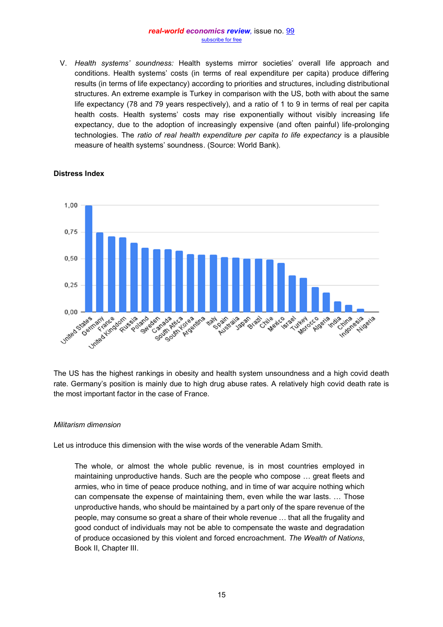V. *Health systems' soundness:* Health systems mirror societies' overall life approach and conditions. Health systems' costs (in terms of real expenditure per capita) produce differing results (in terms of life expectancy) according to priorities and structures, including distributional structures. An extreme example is Turkey in comparison with the US, both with about the same life expectancy (78 and 79 years respectively), and a ratio of 1 to 9 in terms of real per capita health costs. Health systems' costs may rise exponentially without visibly increasing life expectancy, due to the adoption of increasingly expensive (and often painful) life-prolonging technologies. The *ratio of real health expenditure per capita to life expectancy* is a plausible measure of health systems' soundness. (Source: World Bank).



# **Distress Index**

The US has the highest rankings in obesity and health system unsoundness and a high covid death rate. Germany's position is mainly due to high drug abuse rates. A relatively high covid death rate is the most important factor in the case of France.

## *Militarism dimension*

Let us introduce this dimension with the wise words of the venerable Adam Smith.

The whole, or almost the whole public revenue, is in most countries employed in maintaining unproductive hands. Such are the people who compose ... great fleets and armies, who in time of peace produce nothing, and in time of war acquire nothing which can compensate the expense of maintaining them, even while the war lasts. ... Those unproductive hands, who should be maintained by a part only of the spare revenue of the people, may consume so great a share of their whole revenue ... that all the frugality and good conduct of individuals may not be able to compensate the waste and degradation of produce occasioned by this violent and forced encroachment. *The Wealth of Nations*, Book II, Chapter III.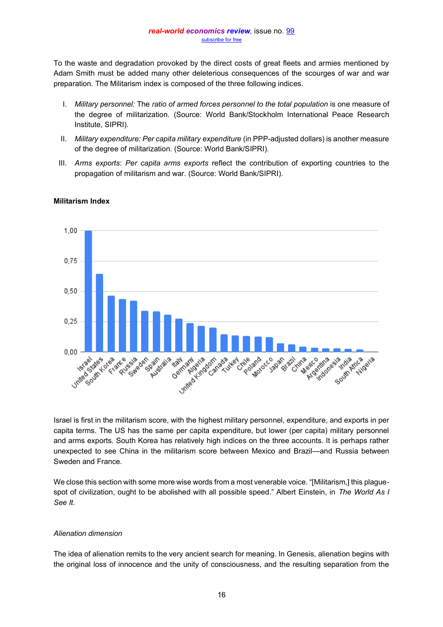To the waste and degradation provoked by the direct costs of great fleets and armies mentioned by Adam Smith must be added many other deleterious consequences of the scourges of war and war preparation. The Militarism index is composed of the three following indices.

- I. *Military personnel:* The *ratio of armed forces personnel to the total population* is one measure of the degree of militarization. (Source: World Bank/Stockholm International Peace Research Institute, SIPRI).
- II. *Military expenditure: Per capita military expenditure* (in PPP-adjusted dollars) is another measure of the degree of militarization. (Source: World Bank/SIPRI).
- III. *Arms exports*: *Per capita arms exports* reflect the contribution of exporting countries to the propagation of militarism and war. (Source: World Bank/SIPRI).



# **Militarism Index**

Israel is first in the militarism score, with the highest military personnel, expenditure, and exports in per capita terms. The US has the same per capita expenditure, but lower (per capita) military personnel and arms exports. South Korea has relatively high indices on the three accounts. It is perhaps rather unexpected to see China in the militarism score between Mexico and Brazil—and Russia between Sweden and France.

We close this section with some more wise words from a most venerable voice. "[Militarism,] this plaguespot of civilization, ought to be abolished with all possible speed." Albert Einstein, in The World As I *See It.*

# *Alienation dimension*

The idea of alienation remits to the very ancient search for meaning. In Genesis, alienation begins with the original loss of innocence and the unity of consciousness, and the resulting separation from the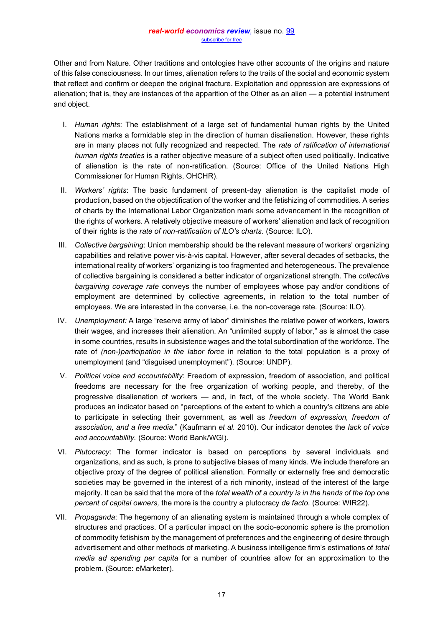Other and from Nature. Other traditions and ontologies have other accounts of the origins and nature of this false consciousness. In our times, alienation refers to the traits of the social and economic system that reflect and confirm or deepen the original fracture. Exploitation and oppression are expressions of alienation; that is, they are instances of the apparition of the Other as an alien  $\frac{1}{2}$  a potential instrument and object.

- I. *Human rights*: The establishment of a large set of fundamental human rights by the United Nations marks a formidable step in the direction of human disalienation. However, these rights are in many places not fully recognized and respected. The *rate of ratification of international human rights treaties* is a rather objective measure of a subject often used politically. Indicative of alienation is the rate of non-ratification. (Source: Office of the United Nations High Commissioner for Human Rights, OHCHR).
- II. *Workers' rights*: The basic fundament of present-day alienation is the capitalist mode of production, based on the objectification of the worker and the fetishizing of commodities. A series of charts by the International Labor Organization mark some advancement in the recognition of the rights of workers. A relatively objective measure of workers' alienation and lack of recognition of their rights is the *rate of non-ratification of ILO's charts*. (Source: ILO).
- III. *Collective bargaining*: Union membership should be the relevant measure of workers' organizing capabilities and relative power vis-à-vis capital. However, after several decades of setbacks, the international reality of workers' organizing is too fragmented and heterogeneous. The prevalence of collective bargaining is considered a better indicator of organizational strength. The *collective bargaining coverage rate* conveys the number of employees whose pay and/or conditions of employment are determined by collective agreements, in relation to the total number of employees. We are interested in the converse, i.e. the non-coverage rate. (Source: ILO).
- IV. *Unemployment:* A large "reserve army of labor" diminishes the relative power of workers, lowers their wages, and increases their alienation. An "unlimited supply of labor," as is almost the case in some countries, results in subsistence wages and the total subordination of the workforce. The rate of *(non-)participation in the labor force* in relation to the total population is a proxy of unemployment (and "disguised unemployment"). (Source: UNDP).
- V. *Political voice and accountability*: Freedom of expression, freedom of association, and political freedoms are necessary for the free organization of working people, and thereby, of the progressive disalienation of workers  $-$  and, in fact, of the whole society. The World Bank produces an indicator based on "perceptions of the extent to which a country's citizens are able to participate in selecting their government, as well as *freedom of expression, freedom of*  association, and a free media." (Kaufmann et al. 2010). Our indicator denotes the lack of voice *and accountability.* (Source: World Bank/WGI).
- VI. *Plutocracy*: The former indicator is based on perceptions by several individuals and organizations, and as such, is prone to subjective biases of many kinds. We include therefore an objective proxy of the degree of political alienation. Formally or externally free and democratic societies may be governed in the interest of a rich minority, instead of the interest of the large majority. It can be said that the more of the *total wealth of a country is in the hands of the top one percent of capital owners,* the more is the country a plutocracy *de facto*. (Source: WIR22).
- VII. *Propaganda*: The hegemony of an alienating system is maintained through a whole complex of structures and practices. Of a particular impact on the socio-economic sphere is the promotion of commodity fetishism by the management of preferences and the engineering of desire through advertisement and other methods of marketing. A business intelligence firm's estimations of *total media ad spending per capita* for a number of countries allow for an approximation to the problem. (Source: eMarketer).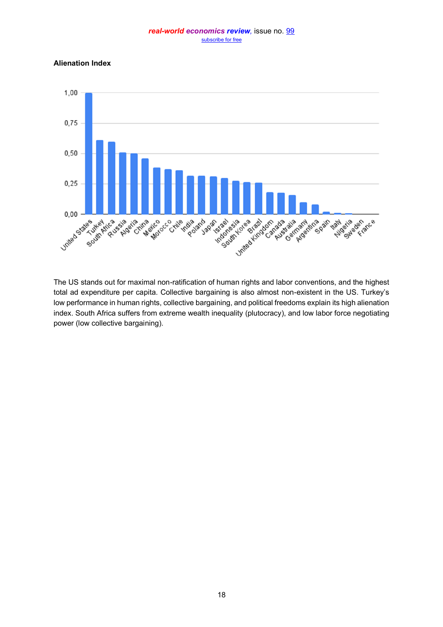#### **Alienation Index**



The US stands out for maximal non-ratification of human rights and labor conventions, and the highest total ad expenditure per capita. Collective bargaining is also almost non-existent in the US. Turkey's low performance in human rights, collective bargaining, and political freedoms explain its high alienation index. South Africa suffers from extreme wealth inequality (plutocracy), and low labor force negotiating power (low collective bargaining).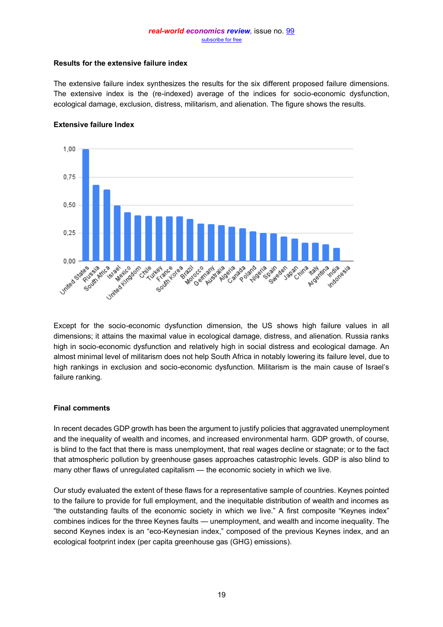# **Results for the extensive failure index**

The extensive failure index synthesizes the results for the six different proposed failure dimensions. The extensive index is the (re-indexed) average of the indices for socio-economic dysfunction, ecological damage, exclusion, distress, militarism, and alienation. The figure shows the results.



#### **Extensive failure Index**

Except for the socio-economic dysfunction dimension, the US shows high failure values in all dimensions; it attains the maximal value in ecological damage, distress, and alienation. Russia ranks high in socio-economic dysfunction and relatively high in social distress and ecological damage. An almost minimal level of militarism does not help South Africa in notably lowering its failure level, due to high rankings in exclusion and socio-economic dysfunction. Militarism is the main cause of Israel's failure ranking.

## **Final comments**

In recent decades GDP growth has been the argument to justify policies that aggravated unemployment and the inequality of wealth and incomes, and increased environmental harm. GDP growth, of course, is blind to the fact that there is mass unemployment, that real wages decline or stagnate; or to the fact that atmospheric pollution by greenhouse gases approaches catastrophic levels. GDP is also blind to many other flaws of unregulated capitalism  $-$  the economic society in which we live.

Our study evaluated the extent of these flaws for a representative sample of countries. Keynes pointed to the failure to provide for full employment, and the inequitable distribution of wealth and incomes as "the outstanding faults of the economic society in which we live." A first composite "Keynes index" combines indices for the three Keynes faults — unemployment, and wealth and income inequality. The second Keynes index is an "eco-Keynesian index," composed of the previous Keynes index, and an ecological footprint index (per capita greenhouse gas (GHG) emissions).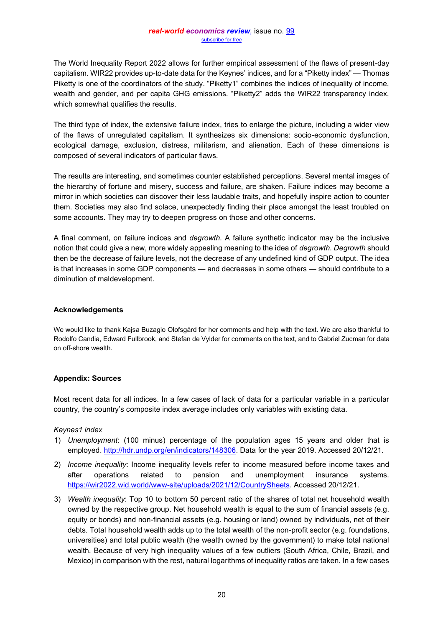The World Inequality Report 2022 allows for further empirical assessment of the flaws of present-day capitalism. WIR22 provides up-to-date data for the Keynes' indices, and for a "Piketty index" — Thomas Piketty is one of the coordinators of the study. "Piketty1" combines the indices of inequality of income, wealth and gender, and per capita GHG emissions. "Piketty2" adds the WIR22 transparency index, which somewhat qualifies the results.

The third type of index, the extensive failure index, tries to enlarge the picture, including a wider view of the flaws of unregulated capitalism. It synthesizes six dimensions: socio-economic dysfunction, ecological damage, exclusion, distress, militarism, and alienation. Each of these dimensions is composed of several indicators of particular flaws.

The results are interesting, and sometimes counter established perceptions. Several mental images of the hierarchy of fortune and misery, success and failure, are shaken. Failure indices may become a mirror in which societies can discover their less laudable traits, and hopefully inspire action to counter them. Societies may also find solace, unexpectedly finding their place amongst the least troubled on some accounts. They may try to deepen progress on those and other concerns.

A final comment, on failure indices and *degrowth*. A failure synthetic indicator may be the inclusive notion that could give a new, more widely appealing meaning to the idea of *degrowth*. *Degrowth* should then be the decrease of failure levels, not the decrease of any undefined kind of GDP output. The idea is that increases in some GDP components - and decreases in some others - should contribute to a diminution of maldevelopment.

#### **Acknowledgements**

We would like to thank Kajsa Buzaglo Olofsgård for her comments and help with the text. We are also thankful to Rodolfo Candia, Edward Fullbrook, and Stefan de Vylder for comments on the text, and to Gabriel Zucman for data on off-shore wealth.

## **Appendix: Sources**

Most recent data for all indices. In a few cases of lack of data for a particular variable in a particular country, the country's composite index average includes only variables with existing data.

## *Keynes1 index*

- 1) *Unemployment*: (100 minus) percentage of the population ages 15 years and older that is employed. http://hdr.undp.org/en/indicators/148306</u>. Data for the year 2019. Accessed 20/12/21.
- 2) *Income inequality*: Income inequality levels refer to income measured before income taxes and after operations related to pension and unemployment insurance systems. [https://wir2022.wid.world/www-site/uploads/2021/12/CountrySheets.](https://wir2022.wid.world/www-site/uploads/2021/12/CountrySheets) Accessed 20/12/21.
- 3) *Wealth inequality*: Top 10 to bottom 50 percent ratio of the shares of total net household wealth owned by the respective group. Net household wealth is equal to the sum of financial assets (e.g. equity or bonds) and non-financial assets (e.g. housing or land) owned by individuals, net of their debts. Total household wealth adds up to the total wealth of the non-profit sector (e.g. foundations, universities) and total public wealth (the wealth owned by the government) to make total national wealth. Because of very high inequality values of a few outliers (South Africa, Chile, Brazil, and Mexico) in comparison with the rest, natural logarithms of inequality ratios are taken. In a few cases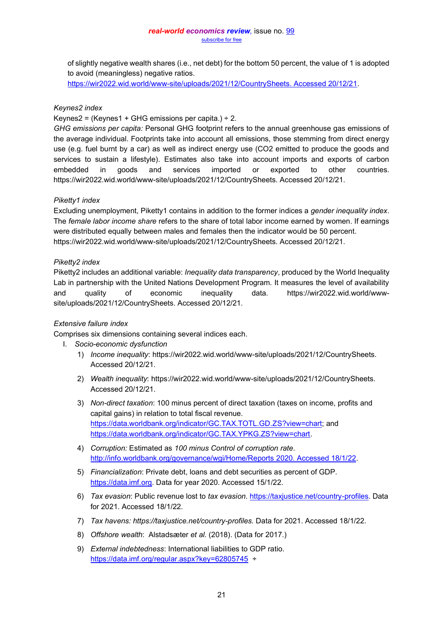of slightly negative wealth shares (i.e., net debt) for the bottom 50 percent, the value of 1 is adopted to avoid (meaningless) negative ratios.

[https://wir2022.wid.world/www-site/uploads/2021/12/CountrySheets. Accessed 20/12/21.](https://wir2022.wid.world/www-site/uploads/2021/12/CountrySheets.%20Accessed%2020/12/21)

# *Keynes2 index*

Keynes2 = (Keynes1 + GHG emissions per capita.)  $\div$  2.

*GHG emissions per capita:* Personal GHG footprint refers to the annual greenhouse gas emissions of the average individual. Footprints take into account all emissions, those stemming from direct energy use (e.g. fuel burnt by a car) as well as indirect energy use (CO2 emitted to produce the goods and services to sustain a lifestyle). Estimates also take into account imports and exports of carbon embedded in goods and services imported or exported to other countries. https://wir2022.wid.world/www-site/uploads/2021/12/CountrySheets. Accessed 20/12/21.

# *Piketty1 index*

Excluding unemployment, Piketty1 contains in addition to the former indices a *gender inequality index*. The *female labor income share* refers to the share of total labor income earned by women. If earnings were distributed equally between males and females then the indicator would be 50 percent. https://wir2022.wid.world/www-site/uploads/2021/12/CountrySheets. Accessed 20/12/21.

# *Piketty2 index*

Piketty2 includes an additional variable: *Inequality data transparency*, produced by the World Inequality Lab in partnership with the United Nations Development Program. It measures the level of availability and quality of economic inequality data. https://wir2022.wid.world/wwwsite/uploads/2021/12/CountrySheets. Accessed 20/12/21.

## *Extensive failure index*

Comprises six dimensions containing several indices each.

- I. *Socio-economic dysfunction*
	- 1) *Income inequality*: https://wir2022.wid.world/www-site/uploads/2021/12/CountrySheets. Accessed 20/12/21.
	- 2) *Wealth inequality*: https://wir2022.wid.world/www-site/uploads/2021/12/CountrySheets. Accessed 20/12/21.
	- 3) *Non-direct taxation*: 100 minus percent of direct taxation (taxes on income, profits and capital gains) in relation to total fiscal revenue. [https://data.worldbank.org/indicator/GC.TAX.TOTL.GD.ZS?view=chart;](https://data.worldbank.org/indicator/GC.TAX.TOTL.GD.ZS?view=chart) and [https://data.worldbank.org/indicator/GC.TAX.YPKG.ZS?view=chart.](https://data.worldbank.org/indicator/GC.TAX.YPKG.ZS?view=chart)
	- 4) *Corruption:* Estimated as *100 minus Control of corruption rate*. [http://info.worldbank.org/governance/wgi/Home/Reports 2020. Accessed 18/1/22.](http://info.worldbank.org/governance/wgi/Home/Reports%202020.%20Accessed%2018/1/22)
	- 5) *Financialization*: Private debt, loans and debt securities as percent of GDP*.*  [https://data.imf.org.](https://data.imf.org/) Data for year 2020. Accessed 15/1/22.
	- 6) *Tax evasion*: Public revenue lost to *tax evasion*. [https://taxjustice.net/country-profiles.](https://taxjustice.net/country-profiles) Data for 2021. Accessed 18/1/22.
	- 7) *Tax havens: https://taxjustice.net/country-profiles.* Data for 2021. Accessed 18/1/22.
	- 8) *Offshore wealth*: Alstadsæter *et al.* (2018). (Data for 2017.)
	- 9) *External indebtedness*: International liabilities to GDP ratio. <https://data.imf.org/regular.aspx?key=62805745>÷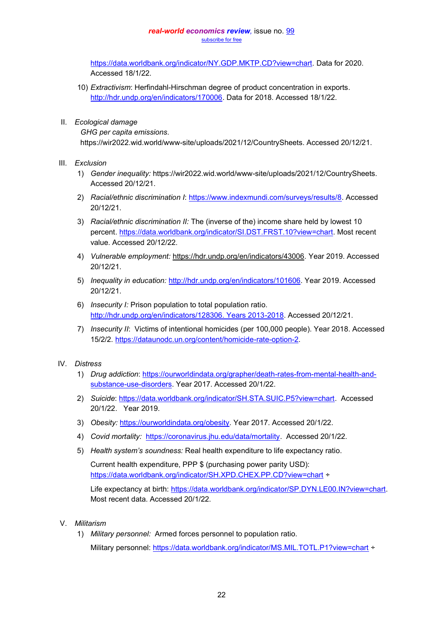[https://data.worldbank.org/indicator/NY.GDP.MKTP.CD?view=chart.](https://data.worldbank.org/indicator/NY.GDP.MKTP.CD?view=chart) Data for 2020. Accessed 18/1/22.

- 10) *Extractivism*: Herfindahl-Hirschman degree of product concentration in exports*.* [http://hdr.undp.org/en/indicators/170006.](http://hdr.undp.org/en/indicators/170006) Data for 2018. Accessed 18/1/22.
- II. *Ecological damage*

*GHG per capita emissions*.

https://wir2022.wid.world/www-site/uploads/2021/12/CountrySheets. Accessed 20/12/21.

- III. *Exclusion*
	- 1) *Gender inequality:* https://wir2022.wid.world/www-site/uploads/2021/12/CountrySheets. Accessed 20/12/21.
	- 2) *Racial/ethnic discrimination I*: [https://www.indexmundi.com/surveys/results/8.](https://www.indexmundi.com/surveys/results/8) Accessed 20/12/21.
	- 3) *Racial/ethnic discrimination II:* The (inverse of the) income share held by lowest 10 percent. [https://data.worldbank.org/indicator/SI.DST.FRST.10?view=chart.](https://data.worldbank.org/indicator/SI.DST.FRST.10?view=chart) Most recent value. Accessed 20/12/22.
	- 4) *Vulnerable employment:* https://hdr.undp.org/en/indicators/43006. Year 2019. Accessed 20/12/21.
	- 5) *Inequality in education:* [http://hdr.undp.org/en/indicators/101606.](http://hdr.undp.org/en/indicators/101606) Year 2019. Accessed 20/12/21.
	- 6) *Insecurity I:* Prison population to total population ratio. [http://hdr.undp.org/en/indicators/128306. Years 2013-2018.](http://hdr.undp.org/en/indicators/128306.%20Years%202013-2018) Accessed 20/12/21.
	- 7) *Insecurity II*: Victims of intentional homicides (per 100,000 people). Year 2018. Accessed 15/2/2. [https://dataunodc.un.org/content/homicide-rate-option-2.](https://dataunodc.un.org/content/homicide-rate-option-2)

# IV. *Distress*

- 1) *Drug addiction*: [https://ourworldindata.org/grapher/death-rates-from-mental-health-and](https://ourworldindata.org/grapher/death-rates-from-mental-health-and-substance-use-disorders)[substance-use-disorders.](https://ourworldindata.org/grapher/death-rates-from-mental-health-and-substance-use-disorders) Year 2017. Accessed 20/1/22.
- 2) *Suicide*: [https://data.worldbank.org/indicator/SH.STA.SUIC.P5?view=chart.](https://data.worldbank.org/indicator/SH.STA.SUIC.P5?view=chart) Accessed 20/1/22. Year 2019.
- 3) *Obesity:* [https://ourworldindata.org/obesity.](https://ourworldindata.org/obesity) Year 2017. Accessed 20/1/22.
- 4) *Covid mortality:* [https://coronavirus.jhu.edu/data/mortality.](https://coronavirus.jhu.edu/data/mortality) Accessed 20/1/22.
- 5) Health system's soundness: Real health expenditure to life expectancy ratio.

Current health expenditure, PPP \$ (purchasing power parity USD): <https://data.worldbank.org/indicator/SH.XPD.CHEX.PP.CD?view=chart> ÷

Life expectancy at birth: [https://data.worldbank.org/indicator/SP.DYN.LE00.IN?view=chart.](https://data.worldbank.org/indicator/SP.DYN.LE00.IN?view=chart) Most recent data. Accessed 20/1/22.

- V. *Militarism*
	- 1) *Military personnel:* Armed forces personnel to population ratio. Military personnel:<https://data.worldbank.org/indicator/MS.MIL.TOTL.P1?view=chart> ÷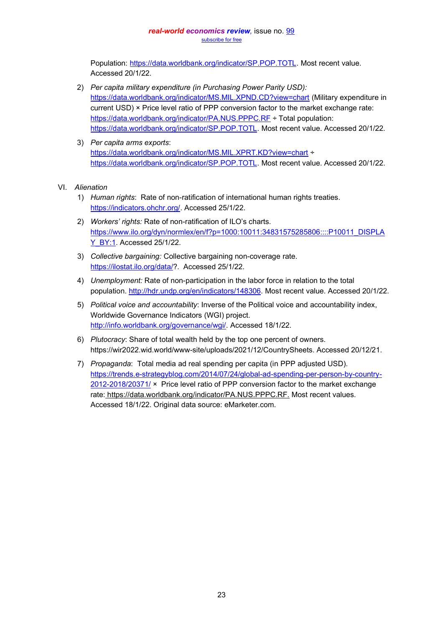Population: [https://data.worldbank.org/indicator/SP.POP.TOTL.](https://data.worldbank.org/indicator/SP.POP.TOTL) Most recent value. Accessed 20/1/22.

- 2) *Per capita military expenditure (in Purchasing Power Parity USD):* <https://data.worldbank.org/indicator/MS.MIL.XPND.CD?view=chart> (Military expenditure in current USD) × Price level ratio of PPP conversion factor to the market exchange rate: https://data.worldbank.org/indicator/PA.NUS.PPPC.RE ÷ Total population: [https://data.worldbank.org/indicator/SP.POP.TOTL.](https://data.worldbank.org/indicator/SP.POP.TOTL) Most recent value. Accessed 20/1/22*.*
- 3) *Per capita arms exports*: <https://data.worldbank.org/indicator/MS.MIL.XPRT.KD?view=chart> ÷ [https://data.worldbank.org/indicator/SP.POP.TOTL.](https://data.worldbank.org/indicator/SP.POP.TOTL) Most recent value. Accessed 20/1/22.

## VI. *Alienation*

- 1) *Human rights*: Rate of non-ratification of international human rights treaties. [https://indicators.ohchr.org/.](https://indicators.ohchr.org/) Accessed 25/1/22.
- 2) *Workers' rights:* Rate of non-ratification of ILO's charts. [https://www.ilo.org/dyn/normlex/en/f?p=1000:10011:34831575285806::::P10011\\_DISPLA](https://www.ilo.org/dyn/normlex/en/f?p=1000:10011:34831575285806::::P10011_DISPLAY_BY:1) [Y\\_BY:1.](https://www.ilo.org/dyn/normlex/en/f?p=1000:10011:34831575285806::::P10011_DISPLAY_BY:1) Accessed 25/1/22.
- 3) *Collective bargaining:* Collective bargaining non-coverage rate. [https://ilostat.ilo.org/data/?](https://ilostat.ilo.org/data/). Accessed 25/1/22.
- 4) *Unemployment:* Rate of non-participation in the labor force in relation to the total population. [http://hdr.undp.org/en/indicators/148306.](http://hdr.undp.org/en/indicators/148306) Most recent value. Accessed 20/1/22.
- 5) *Political voice and accountability*: Inverse of the Political voice and accountability index, Worldwide Governance Indicators (WGI) project. [http://info.worldbank.org/governance/wgi/.](http://info.worldbank.org/governance/wgi/) Accessed 18/1/22.
- 6) *Plutocracy*: Share of total wealth held by the top one percent of owners. https://wir2022.wid.world/www-site/uploads/2021/12/CountrySheets. Accessed 20/12/21.
- 7) *Propaganda*: Total media ad real spending per capita (in PPP adjusted USD). [https://trends.e-strategyblog.com/2014/07/24/global-ad-spending-per-person-by-country-](https://trends.e-strategyblog.com/2014/07/24/global-ad-spending-per-person-by-country-2012-2018/20371/)[2012-2018/20371/](https://trends.e-strategyblog.com/2014/07/24/global-ad-spending-per-person-by-country-2012-2018/20371/) × Price level ratio of PPP conversion factor to the market exchange rate: https://data.worldbank.org/indicator/PA.NUS.PPPC.RF. Most recent values. Accessed 18/1/22. Original data source: eMarketer.com.